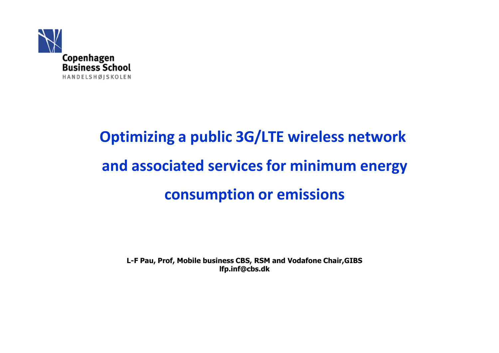

# **Optimizing a public 3G/LTE wireless network and associated services for minimum energy consumption or emissions**

**L-F Pau, Prof, Mobile business CBS, RSM and Vodafone Chair,GIBS lfp.inf@cbs.dk**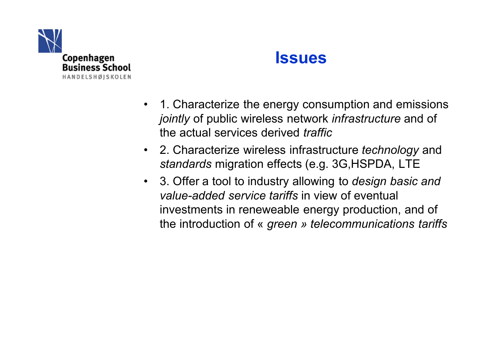

#### **Issues**

- 1. Characterize the energy consumption and emissions *jointly* of public wireless network *infrastructure* and of the actual services derived *traffic*
- 2. Characterize wireless infrastructure *technology* and *standards* migration effects (e.g. 3G,HSPDA, LTE
- 3. Offer a tool to industry allowing to *design basic and value-added service tariffs* in view of eventual investments in reneweable energy production, and of the introduction of « *green* » *telecommunications tariffs*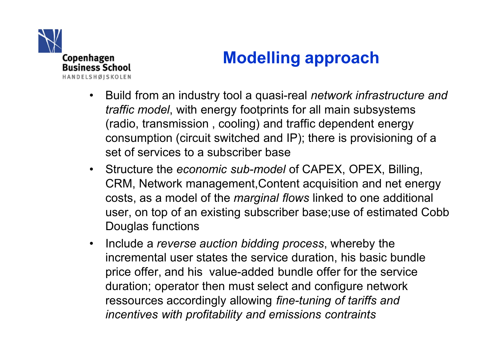

# **Modelling approach**

- Build from an industry tool a quasi-real *network infrastructure and traffic model*, with energy footprints for all main subsystems (radio, transmission , cooling) and traffic dependent energy consumption (circuit switched and IP); there is provisioning of a set of services to a subscriber base
- Structure the *economic sub-model* of CAPEX, OPEX, Billing, CRM, Network management,Content acquisition and net energy costs, as a model of the *marginal flows* linked to one additional user, on top of an existing subscriber base;use of estimated Cobb Douglas functions
- Include a *reverse auction bidding process*, whereby the incremental user states the service duration, his basic bundle price offer, and his value-added bundle offer for the service duration; operator then must select and configure network ressources accordingly allowing *fine-tuning of tariffs and incentives with profitability and emissions contraints*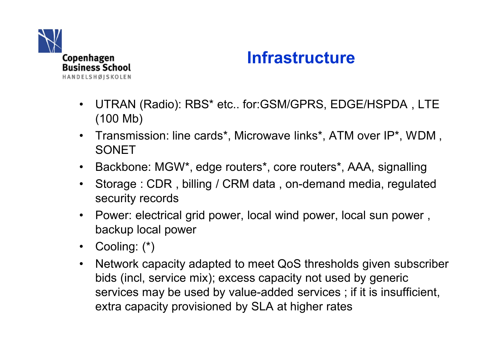

### **Infrastructure**

- UTRAN (Radio): RBS\* etc.. for:GSM/GPRS, EDGE/HSPDA , LTE (100 Mb)
- Transmission: line cards\*, Microwave links\*, ATM over IP\*, WDM , SONET
- Backbone: MGW\*, edge routers\*, core routers\*, AAA, signalling
- Storage : CDR , billing / CRM data , on-demand media, regulated security records
- Power: electrical grid power, local wind power, local sun power , backup local power
- Cooling: (\*)
- Network capacity adapted to meet QoS thresholds given subscriber bids (incl, service mix); excess capacity not used by generic services may be used by value-added services ; if it is insufficient, extra capacity provisioned by SLA at higher rates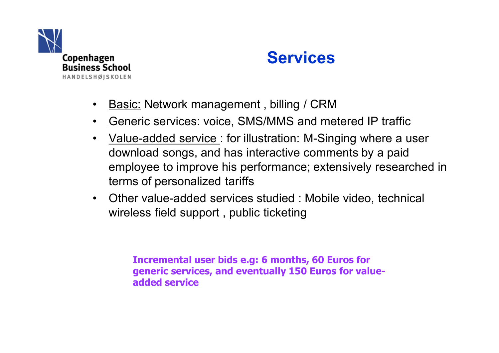

### **Services**

- Basic: Network management , billing / CRM
- Generic services: voice, SMS/MMS and metered IP traffic
- <u>Value-added service</u>: for illustration: M-Singing where a user download songs, and has interactive comments by a paid employee to improve his performance; extensively researched in terms of personalized tariffs
- Other value-added services studied : Mobile video, technical wireless field support , public ticketing

**Incremental user bids e.g: 6 months, 60 Euros for generic services, and eventually 150 Euros for valueadded service**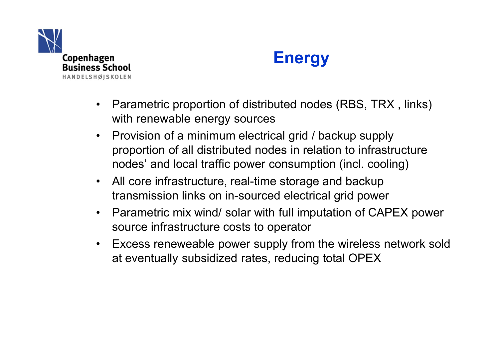



- Parametric proportion of distributed nodes (RBS, TRX , links) with renewable energy sources
- Provision of a minimum electrical grid / backup supply proportion of all distributed nodes in relation to infrastructure nodes' and local traffic power consumption (incl. cooling)
- All core infrastructure, real-time storage and backup transmission links on in-sourced electrical grid power
- Parametric mix wind/ solar with full imputation of CAPEX power source infrastructure costs to operator
- Excess reneweable power supply from the wireless network sold at eventually subsidized rates, reducing total OPEX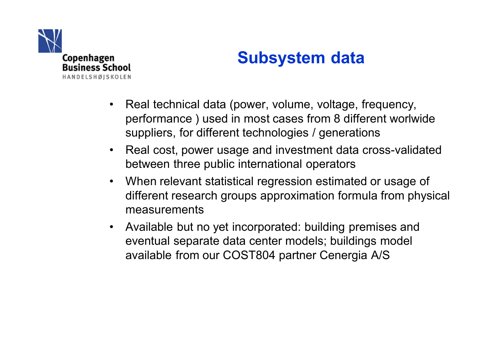

### **Subsystem data**

- Real technical data (power, volume, voltage, frequency, performance ) used in most cases from 8 different worlwide suppliers, for different technologies / generations
- Real cost, power usage and investment data cross-validated between three public international operators
- When relevant statistical regression estimated or usage of different research groups approximation formula from physical measurements
- Available but no yet incorporated: building premises and eventual separate data center models; buildings model available from our COST804 partner Cenergia A/S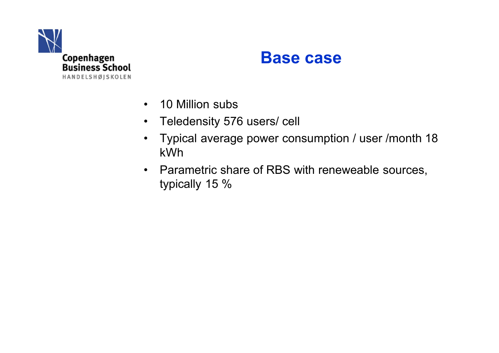

#### **Base case**

- 10 Million subs
- Teledensity 576 users/ cell
- Typical average power consumption / user /month 18 kWh
- Parametric share of RBS with reneweable sources, typically 15 %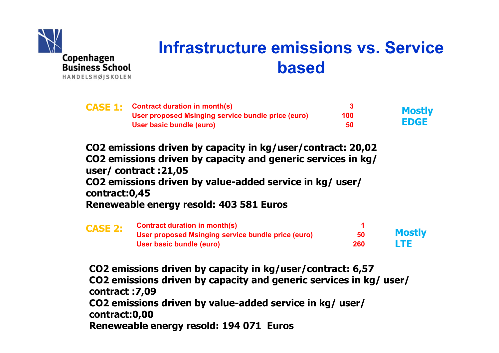

# **Infrastructure emissions vs. Service based**

|  | <b>CASE 1:</b> Contract duration in month(s)       |     | <b>Mostly</b> |
|--|----------------------------------------------------|-----|---------------|
|  | User proposed Msinging service bundle price (euro) | 100 |               |
|  | User basic bundle (euro)                           | 50  | <b>EDGE</b>   |

**CO2 emissions driven by capacity in kg/user/contract: 20,02 CO2 emissions driven by capacity and generic services in kg/ user/ contract :21,05 CO2 emissions driven by value-added service in kg/ user/ contract:0,45 Reneweable energy resold: 403 581 Euros**

| <b>CASE 2:</b> | <b>Contract duration in month(s)</b>               |     |               |
|----------------|----------------------------------------------------|-----|---------------|
|                | User proposed Msinging service bundle price (euro) | 50  | <b>Mostly</b> |
|                | User basic bundle (euro)                           | 260 | <b>LTE</b>    |

**CO2 emissions driven by capacity in kg/user/contract: 6,57 CO2 emissions driven by capacity and generic services in kg/ user/ contract :7,09 CO2 emissions driven by value-added service in kg/ user/ contract:0,00 Reneweable energy resold: 194 071 Euros**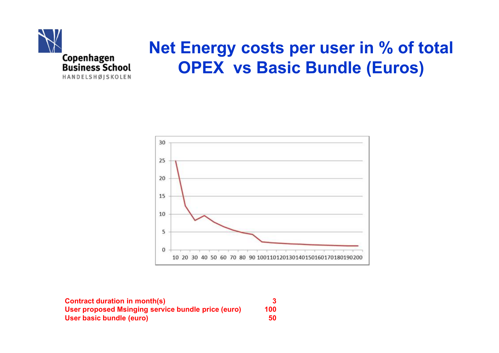

# **Net Energy costs per user in % of total OPEX vs Basic Bundle (Euros)**



| <b>Contract duration in month(s)</b>               |     |
|----------------------------------------------------|-----|
| User proposed Msinging service bundle price (euro) | 100 |
| User basic bundle (euro)                           | 50  |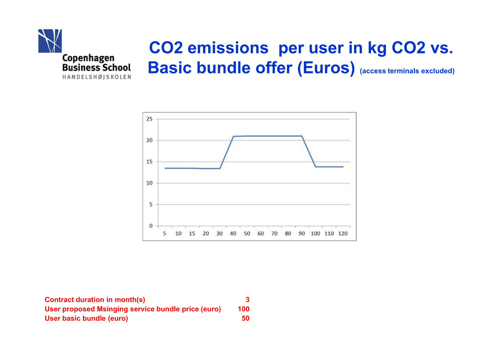



**Contract duration in month(s) 3 User proposed Msinging service bundle price (euro) 100 User basic bundle (euro) 50**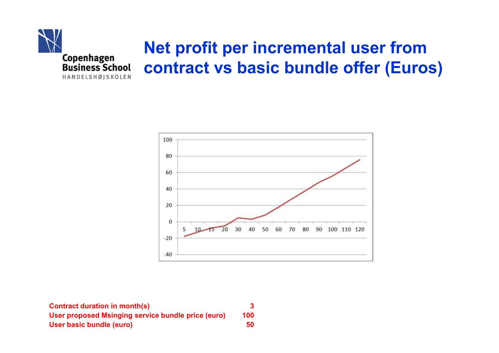



| <b>Contract duration in month(s)</b>               |     |
|----------------------------------------------------|-----|
| User proposed Msinging service bundle price (euro) | 100 |
| User basic bundle (euro)                           | 50  |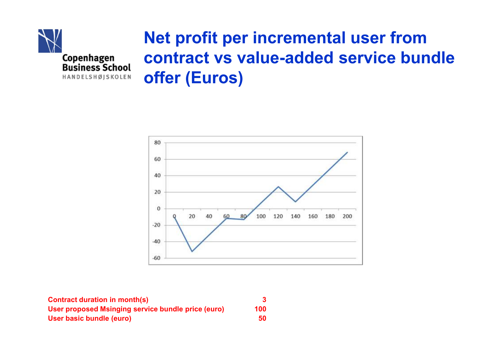

# **Net profit per incremental user from contract vs value-added service bundle offer (Euros)**



| <b>Contract duration in month(s)</b>               |     |
|----------------------------------------------------|-----|
| User proposed Msinging service bundle price (euro) | 100 |
| User basic bundle (euro)                           | 50  |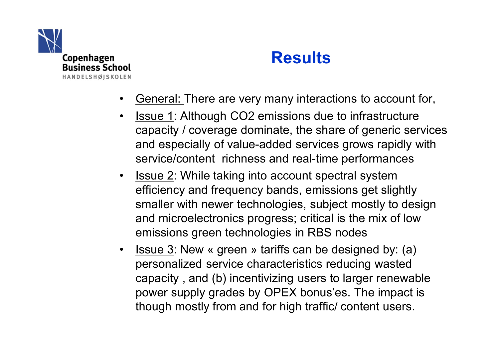

### **Results**

- General: There are very many interactions to account for,
- **Issue 1: Although CO2 emissions due to infrastructure** capacity / coverage dominate, the share of generic services and especially of value-added services grows rapidly with service/content richness and real-time performances
- Issue 2: While taking into account spectral system efficiency and frequency bands, emissions get slightly smaller with newer technologies, subject mostly to design and microelectronics progress; critical is the mix of low emissions green technologies in RBS nodes
- **Issue 3:** New « green » tariffs can be designed by: (a) personalized service characteristics reducing wasted capacity , and (b) incentivizing users to larger renewable power supply grades by OPEX bonus'es. The impact is though mostly from and for high traffic/ content users.